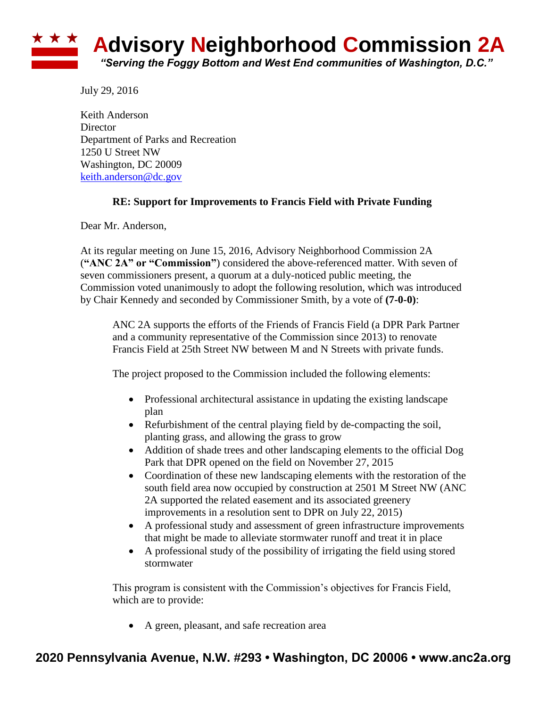## ★ ★ ★ **Advisory Neighborhood Commission 2A** *"Serving the Foggy Bottom and West End communities of Washington, D.C."*

July 29, 2016

Keith Anderson **Director** Department of Parks and Recreation 1250 U Street NW Washington, DC 20009 [keith.anderson@dc.gov](mailto:keith.anderson@dc.gov)

## **RE: Support for Improvements to Francis Field with Private Funding**

Dear Mr. Anderson,

At its regular meeting on June 15, 2016, Advisory Neighborhood Commission 2A (**"ANC 2A" or "Commission"**) considered the above-referenced matter. With seven of seven commissioners present, a quorum at a duly-noticed public meeting, the Commission voted unanimously to adopt the following resolution, which was introduced by Chair Kennedy and seconded by Commissioner Smith, by a vote of **(7-0-0)**:

ANC 2A supports the efforts of the Friends of Francis Field (a DPR Park Partner and a community representative of the Commission since 2013) to renovate Francis Field at 25th Street NW between M and N Streets with private funds.

The project proposed to the Commission included the following elements:

- Professional architectural assistance in updating the existing landscape plan
- Refurbishment of the central playing field by de-compacting the soil, planting grass, and allowing the grass to grow
- Addition of shade trees and other landscaping elements to the official Dog Park that DPR opened on the field on November 27, 2015
- Coordination of these new landscaping elements with the restoration of the south field area now occupied by construction at 2501 M Street NW (ANC 2A supported the related easement and its associated greenery improvements in a resolution sent to DPR on July 22, 2015)
- A professional study and assessment of green infrastructure improvements that might be made to alleviate stormwater runoff and treat it in place
- A professional study of the possibility of irrigating the field using stored stormwater

This program is consistent with the Commission's objectives for Francis Field, which are to provide:

A green, pleasant, and safe recreation area